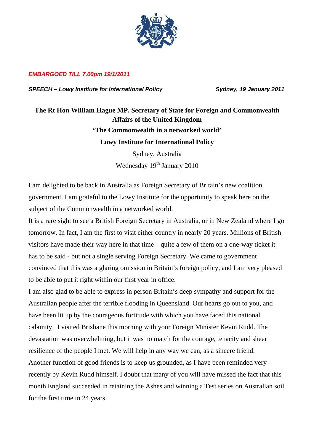

## *EMBARGOED TILL 7.00pm 19/1/2011*

SPEECH – Lowy Institute for International Policy **Sydney, 19 January 2011** 

## **The Rt Hon William Hague MP, Secretary of State for Foreign and Commonwealth Affairs of the United Kingdom 'The Commonwealth in a networked world' Lowy Institute for International Policy**

Sydney, Australia Wednesday 19<sup>th</sup> January 2010

I am delighted to be back in Australia as Foreign Secretary of Britain's new coalition government. I am grateful to the Lowy Institute for the opportunity to speak here on the subject of the Commonwealth in a networked world.

It is a rare sight to see a British Foreign Secretary in Australia, or in New Zealand where I go tomorrow. In fact, I am the first to visit either country in nearly 20 years. Millions of British visitors have made their way here in that time – quite a few of them on a one-way ticket it has to be said - but not a single serving Foreign Secretary. We came to government convinced that this was a glaring omission in Britain's foreign policy, and I am very pleased to be able to put it right within our first year in office.

I am also glad to be able to express in person Britain's deep sympathy and support for the Australian people after the terrible flooding in Queensland. Our hearts go out to you, and have been lit up by the courageous fortitude with which you have faced this national calamity. I visited Brisbane this morning with your Foreign Minister Kevin Rudd. The devastation was overwhelming, but it was no match for the courage, tenacity and sheer resilience of the people I met. We will help in any way we can, as a sincere friend. Another function of good friends is to keep us grounded, as I have been reminded very recently by Kevin Rudd himself. I doubt that many of you will have missed the fact that this month England succeeded in retaining the Ashes and winning a Test series on Australian soil for the first time in 24 years.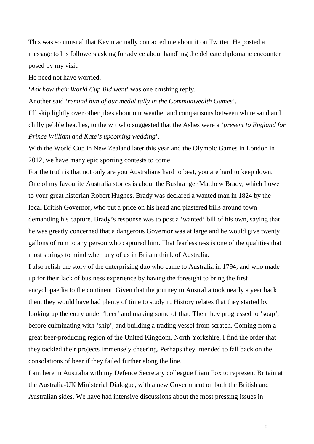This was so unusual that Kevin actually contacted me about it on Twitter. He posted a message to his followers asking for advice about handling the delicate diplomatic encounter posed by my visit.

He need not have worried.

'*Ask how their World Cup Bid went*' was one crushing reply. Another said '*remind him of our medal tally in the Commonwealth Games*'.

I'll skip lightly over other jibes about our weather and comparisons between white sand and chilly pebble beaches, to the wit who suggested that the Ashes were a '*present to England for Prince William and Kate's upcoming wedding*'.

With the World Cup in New Zealand later this year and the Olympic Games in London in 2012, we have many epic sporting contests to come.

For the truth is that not only are you Australians hard to beat, you are hard to keep down. One of my favourite Australia stories is about the Bushranger Matthew Brady, which I owe to your great historian Robert Hughes. Brady was declared a wanted man in 1824 by the local British Governor, who put a price on his head and plastered bills around town demanding his capture. Brady's response was to post a 'wanted' bill of his own, saying that he was greatly concerned that a dangerous Governor was at large and he would give twenty gallons of rum to any person who captured him. That fearlessness is one of the qualities that most springs to mind when any of us in Britain think of Australia.

I also relish the story of the enterprising duo who came to Australia in 1794, and who made up for their lack of business experience by having the foresight to bring the first encyclopaedia to the continent. Given that the journey to Australia took nearly a year back then, they would have had plenty of time to study it. History relates that they started by looking up the entry under 'beer' and making some of that. Then they progressed to 'soap', before culminating with 'ship', and building a trading vessel from scratch. Coming from a great beer-producing region of the United Kingdom, North Yorkshire, I find the order that they tackled their projects immensely cheering. Perhaps they intended to fall back on the consolations of beer if they failed further along the line.

I am here in Australia with my Defence Secretary colleague Liam Fox to represent Britain at the Australia-UK Ministerial Dialogue, with a new Government on both the British and Australian sides. We have had intensive discussions about the most pressing issues in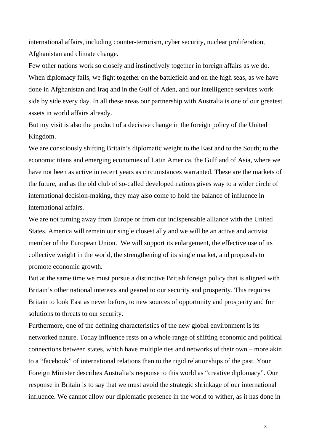international affairs, including counter-terrorism, cyber security, nuclear proliferation, Afghanistan and climate change.

Few other nations work so closely and instinctively together in foreign affairs as we do. When diplomacy fails, we fight together on the battlefield and on the high seas, as we have done in Afghanistan and Iraq and in the Gulf of Aden, and our intelligence services work side by side every day. In all these areas our partnership with Australia is one of our greatest assets in world affairs already.

But my visit is also the product of a decisive change in the foreign policy of the United Kingdom.

We are consciously shifting Britain's diplomatic weight to the East and to the South; to the economic titans and emerging economies of Latin America, the Gulf and of Asia, where we have not been as active in recent years as circumstances warranted. These are the markets of the future, and as the old club of so-called developed nations gives way to a wider circle of international decision-making, they may also come to hold the balance of influence in international affairs.

We are not turning away from Europe or from our indispensable alliance with the United States. America will remain our single closest ally and we will be an active and activist member of the European Union. We will support its enlargement, the effective use of its collective weight in the world, the strengthening of its single market, and proposals to promote economic growth.

But at the same time we must pursue a distinctive British foreign policy that is aligned with Britain's other national interests and geared to our security and prosperity. This requires Britain to look East as never before, to new sources of opportunity and prosperity and for solutions to threats to our security.

Furthermore, one of the defining characteristics of the new global environment is its networked nature. Today influence rests on a whole range of shifting economic and political connections between states, which have multiple ties and networks of their own – more akin to a "facebook" of international relations than to the rigid relationships of the past. Your Foreign Minister describes Australia's response to this world as "creative diplomacy". Our response in Britain is to say that we must avoid the strategic shrinkage of our international influence. We cannot allow our diplomatic presence in the world to wither, as it has done in

<u>3</u>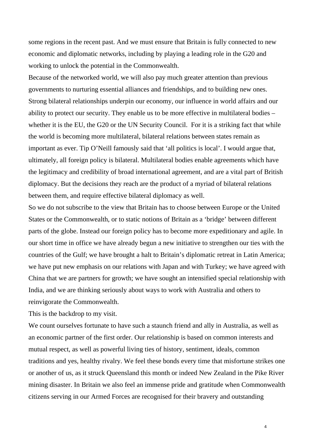some regions in the recent past. And we must ensure that Britain is fully connected to new economic and diplomatic networks, including by playing a leading role in the G20 and working to unlock the potential in the Commonwealth.

Because of the networked world, we will also pay much greater attention than previous governments to nurturing essential alliances and friendships, and to building new ones. Strong bilateral relationships underpin our economy, our influence in world affairs and our ability to protect our security. They enable us to be more effective in multilateral bodies – whether it is the EU, the G20 or the UN Security Council. For it is a striking fact that while the world is becoming more multilateral, bilateral relations between states remain as important as ever. Tip O'Neill famously said that 'all politics is local'. I would argue that, ultimately, all foreign policy is bilateral. Multilateral bodies enable agreements which have the legitimacy and credibility of broad international agreement, and are a vital part of British diplomacy. But the decisions they reach are the product of a myriad of bilateral relations between them, and require effective bilateral diplomacy as well.

So we do not subscribe to the view that Britain has to choose between Europe or the United States or the Commonwealth, or to static notions of Britain as a 'bridge' between different parts of the globe. Instead our foreign policy has to become more expeditionary and agile. In our short time in office we have already begun a new initiative to strengthen our ties with the countries of the Gulf; we have brought a halt to Britain's diplomatic retreat in Latin America; we have put new emphasis on our relations with Japan and with Turkey; we have agreed with China that we are partners for growth; we have sought an intensified special relationship with India, and we are thinking seriously about ways to work with Australia and others to reinvigorate the Commonwealth.

This is the backdrop to my visit.

We count ourselves fortunate to have such a staunch friend and ally in Australia, as well as an economic partner of the first order. Our relationship is based on common interests and mutual respect, as well as powerful living ties of history, sentiment, ideals, common traditions and yes, healthy rivalry. We feel these bonds every time that misfortune strikes one or another of us, as it struck Queensland this month or indeed New Zealand in the Pike River mining disaster. In Britain we also feel an immense pride and gratitude when Commonwealth citizens serving in our Armed Forces are recognised for their bravery and outstanding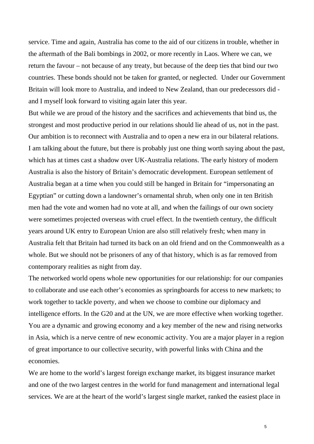service. Time and again, Australia has come to the aid of our citizens in trouble, whether in the aftermath of the Bali bombings in 2002, or more recently in Laos. Where we can, we return the favour – not because of any treaty, but because of the deep ties that bind our two countries. These bonds should not be taken for granted, or neglected. Under our Government Britain will look more to Australia, and indeed to New Zealand, than our predecessors did and I myself look forward to visiting again later this year.

But while we are proud of the history and the sacrifices and achievements that bind us, the strongest and most productive period in our relations should lie ahead of us, not in the past. Our ambition is to reconnect with Australia and to open a new era in our bilateral relations. I am talking about the future, but there is probably just one thing worth saying about the past, which has at times cast a shadow over UK-Australia relations. The early history of modern Australia is also the history of Britain's democratic development. European settlement of Australia began at a time when you could still be hanged in Britain for "impersonating an Egyptian" or cutting down a landowner's ornamental shrub, when only one in ten British men had the vote and women had no vote at all, and when the failings of our own society were sometimes projected overseas with cruel effect. In the twentieth century, the difficult years around UK entry to European Union are also still relatively fresh; when many in Australia felt that Britain had turned its back on an old friend and on the Commonwealth as a whole. But we should not be prisoners of any of that history, which is as far removed from contemporary realities as night from day.

The networked world opens whole new opportunities for our relationship: for our companies to collaborate and use each other's economies as springboards for access to new markets; to work together to tackle poverty, and when we choose to combine our diplomacy and intelligence efforts. In the G20 and at the UN, we are more effective when working together. You are a dynamic and growing economy and a key member of the new and rising networks in Asia, which is a nerve centre of new economic activity. You are a major player in a region of great importance to our collective security, with powerful links with China and the economies.

We are home to the world's largest foreign exchange market, its biggest insurance market and one of the two largest centres in the world for fund management and international legal services. We are at the heart of the world's largest single market, ranked the easiest place in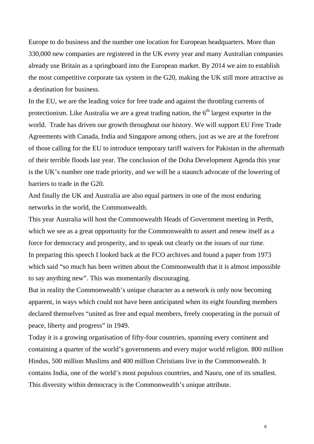Europe to do business and the number one location for European headquarters. More than 330,000 new companies are registered in the UK every year and many Australian companies already use Britain as a springboard into the European market. By 2014 we aim to establish the most competitive corporate tax system in the G20, making the UK still more attractive as a destination for business.

In the EU, we are the leading voice for free trade and against the throttling currents of protectionism. Like Australia we are a great trading nation, the  $6<sup>th</sup>$  largest exporter in the world. Trade has driven our growth throughout our history. We will support EU Free Trade Agreements with Canada, India and Singapore among others, just as we are at the forefront of those calling for the EU to introduce temporary tariff waivers for Pakistan in the aftermath of their terrible floods last year. The conclusion of the Doha Development Agenda this year is the UK's number one trade priority, and we will be a staunch advocate of the lowering of barriers to trade in the G20.

And finally the UK and Australia are also equal partners in one of the most enduring networks in the world, the Commonwealth.

This year Australia will host the Commonwealth Heads of Government meeting in Perth, which we see as a great opportunity for the Commonwealth to assert and renew itself as a force for democracy and prosperity, and to speak out clearly on the issues of our time. In preparing this speech I looked back at the FCO archives and found a paper from 1973 which said "so much has been written about the Commonwealth that it is almost impossible to say anything new". This was momentarily discouraging.

But in reality the Commonwealth's unique character as a network is only now becoming apparent, in ways which could not have been anticipated when its eight founding members declared themselves "united as free and equal members, freely cooperating in the pursuit of peace, liberty and progress" in 1949.

Today it is a growing organisation of fifty-four countries, spanning every continent and containing a quarter of the world's governments and every major world religion. 800 million Hindus, 500 million Muslims and 400 million Christians live in the Commonwealth. It contains India, one of the world's most populous countries, and Nauru, one of its smallest. This diversity within democracy is the Commonwealth's unique attribute.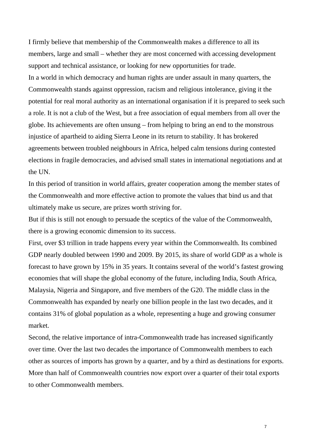I firmly believe that membership of the Commonwealth makes a difference to all its members, large and small – whether they are most concerned with accessing development support and technical assistance, or looking for new opportunities for trade. In a world in which democracy and human rights are under assault in many quarters, the Commonwealth stands against oppression, racism and religious intolerance, giving it the potential for real moral authority as an international organisation if it is prepared to seek such a role. It is not a club of the West, but a free association of equal members from all over the globe. Its achievements are often unsung – from helping to bring an end to the monstrous injustice of apartheid to aiding Sierra Leone in its return to stability. It has brokered agreements between troubled neighbours in Africa, helped calm tensions during contested elections in fragile democracies, and advised small states in international negotiations and at the UN.

In this period of transition in world affairs, greater cooperation among the member states of the Commonwealth and more effective action to promote the values that bind us and that ultimately make us secure, are prizes worth striving for.

But if this is still not enough to persuade the sceptics of the value of the Commonwealth, there is a growing economic dimension to its success.

First, over \$3 trillion in trade happens every year within the Commonwealth. Its combined GDP nearly doubled between 1990 and 2009. By 2015, its share of world GDP as a whole is forecast to have grown by 15% in 35 years. It contains several of the world's fastest growing economies that will shape the global economy of the future, including India, South Africa, Malaysia, Nigeria and Singapore, and five members of the G20. The middle class in the Commonwealth has expanded by nearly one billion people in the last two decades, and it contains 31% of global population as a whole, representing a huge and growing consumer market.

Second, the relative importance of intra-Commonwealth trade has increased significantly over time. Over the last two decades the importance of Commonwealth members to each other as sources of imports has grown by a quarter, and by a third as destinations for exports. More than half of Commonwealth countries now export over a quarter of their total exports to other Commonwealth members.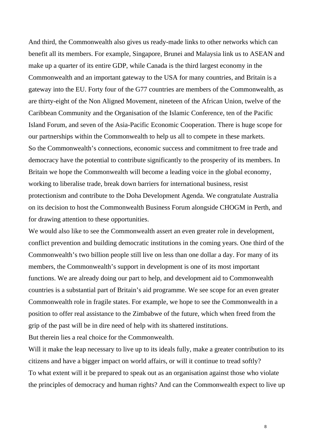And third, the Commonwealth also gives us ready-made links to other networks which can benefit all its members. For example, Singapore, Brunei and Malaysia link us to ASEAN and make up a quarter of its entire GDP, while Canada is the third largest economy in the Commonwealth and an important gateway to the USA for many countries, and Britain is a gateway into the EU. Forty four of the G77 countries are members of the Commonwealth, as are thirty-eight of the Non Aligned Movement, nineteen of the African Union, twelve of the Caribbean Community and the Organisation of the Islamic Conference, ten of the Pacific Island Forum, and seven of the Asia-Pacific Economic Cooperation. There is huge scope for our partnerships within the Commonwealth to help us all to compete in these markets. So the Commonwealth's connections, economic success and commitment to free trade and democracy have the potential to contribute significantly to the prosperity of its members. In Britain we hope the Commonwealth will become a leading voice in the global economy, working to liberalise trade, break down barriers for international business, resist protectionism and contribute to the Doha Development Agenda. We congratulate Australia on its decision to host the Commonwealth Business Forum alongside CHOGM in Perth, and for drawing attention to these opportunities.

We would also like to see the Commonwealth assert an even greater role in development, conflict prevention and building democratic institutions in the coming years. One third of the Commonwealth's two billion people still live on less than one dollar a day. For many of its members, the Commonwealth's support in development is one of its most important functions. We are already doing our part to help, and development aid to Commonwealth countries is a substantial part of Britain's aid programme. We see scope for an even greater Commonwealth role in fragile states. For example, we hope to see the Commonwealth in a position to offer real assistance to the Zimbabwe of the future, which when freed from the grip of the past will be in dire need of help with its shattered institutions.

But therein lies a real choice for the Commonwealth.

Will it make the leap necessary to live up to its ideals fully, make a greater contribution to its citizens and have a bigger impact on world affairs, or will it continue to tread softly? To what extent will it be prepared to speak out as an organisation against those who violate the principles of democracy and human rights? And can the Commonwealth expect to live up

8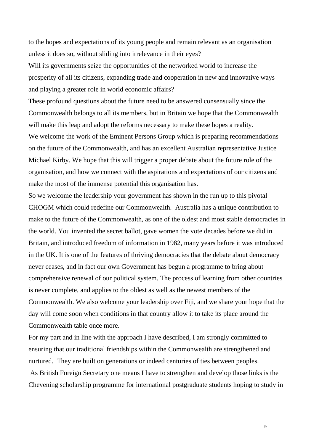to the hopes and expectations of its young people and remain relevant as an organisation unless it does so, without sliding into irrelevance in their eyes?

Will its governments seize the opportunities of the networked world to increase the prosperity of all its citizens, expanding trade and cooperation in new and innovative ways and playing a greater role in world economic affairs?

These profound questions about the future need to be answered consensually since the Commonwealth belongs to all its members, but in Britain we hope that the Commonwealth will make this leap and adopt the reforms necessary to make these hopes a reality. We welcome the work of the Eminent Persons Group which is preparing recommendations on the future of the Commonwealth, and has an excellent Australian representative Justice Michael Kirby. We hope that this will trigger a proper debate about the future role of the organisation, and how we connect with the aspirations and expectations of our citizens and make the most of the immense potential this organisation has.

So we welcome the leadership your government has shown in the run up to this pivotal CHOGM which could redefine our Commonwealth. Australia has a unique contribution to make to the future of the Commonwealth, as one of the oldest and most stable democracies in the world. You invented the secret ballot, gave women the vote decades before we did in Britain, and introduced freedom of information in 1982, many years before it was introduced in the UK. It is one of the features of thriving democracies that the debate about democracy never ceases, and in fact our own Government has begun a programme to bring about comprehensive renewal of our political system. The process of learning from other countries is never complete, and applies to the oldest as well as the newest members of the Commonwealth. We also welcome your leadership over Fiji, and we share your hope that the day will come soon when conditions in that country allow it to take its place around the Commonwealth table once more.

For my part and in line with the approach I have described, I am strongly committed to ensuring that our traditional friendships within the Commonwealth are strengthened and nurtured. They are built on generations or indeed centuries of ties between peoples.

 As British Foreign Secretary one means I have to strengthen and develop those links is the Chevening scholarship programme for international postgraduate students hoping to study in

9